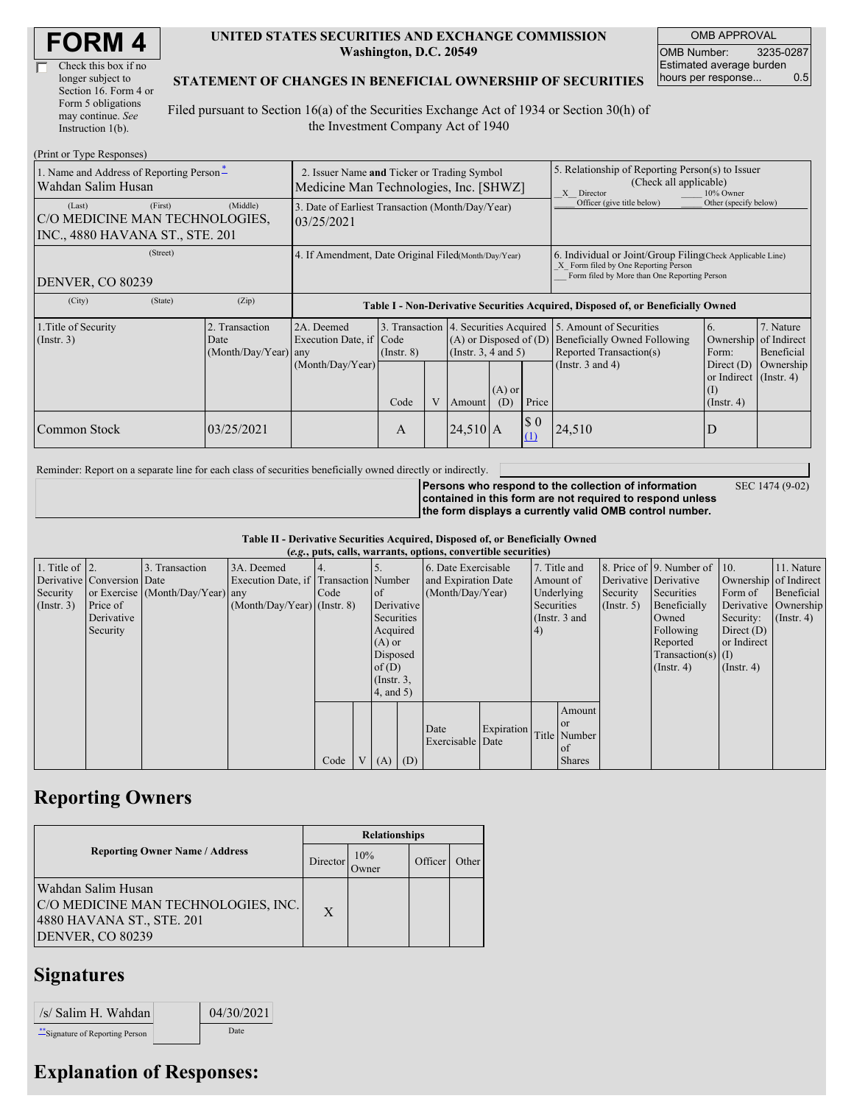| <b>FORM4</b> |
|--------------|
|--------------|

| Check this box if no  |
|-----------------------|
| longer subject to     |
| Section 16. Form 4 or |
| Form 5 obligations    |
| may continue. See     |
| Instruction $1(b)$ .  |

#### **UNITED STATES SECURITIES AND EXCHANGE COMMISSION Washington, D.C. 20549**

OMB APPROVAL OMB Number: 3235-0287 Estimated average burden hours per response... 0.5

#### **STATEMENT OF CHANGES IN BENEFICIAL OWNERSHIP OF SECURITIES**

Filed pursuant to Section 16(a) of the Securities Exchange Act of 1934 or Section 30(h) of the Investment Company Act of 1940

| (Print or Type Responses)                                                              |                                                                                       |                                                                                  |                         |   |               |                                                                                                                         |                                                                                                                                                    |                                                                                                             |                                                                                                           |                                      |
|----------------------------------------------------------------------------------------|---------------------------------------------------------------------------------------|----------------------------------------------------------------------------------|-------------------------|---|---------------|-------------------------------------------------------------------------------------------------------------------------|----------------------------------------------------------------------------------------------------------------------------------------------------|-------------------------------------------------------------------------------------------------------------|-----------------------------------------------------------------------------------------------------------|--------------------------------------|
| 1. Name and Address of Reporting Person-<br>Wahdan Salim Husan                         | 2. Issuer Name and Ticker or Trading Symbol<br>Medicine Man Technologies, Inc. [SHWZ] |                                                                                  |                         |   |               |                                                                                                                         | 5. Relationship of Reporting Person(s) to Issuer<br>(Check all applicable)<br>X Director<br>10% Owner                                              |                                                                                                             |                                                                                                           |                                      |
| (First)<br>(Last)<br>C/O MEDICINE MAN TECHNOLOGIES,<br>INC., 4880 HAVANA ST., STE. 201 | (Middle)                                                                              | 3. Date of Earliest Transaction (Month/Day/Year)<br>03/25/2021                   |                         |   |               |                                                                                                                         | Officer (give title below)                                                                                                                         | Other (specify below)                                                                                       |                                                                                                           |                                      |
| (Street)<br>DENVER, CO 80239                                                           | 4. If Amendment, Date Original Filed(Month/Day/Year)                                  |                                                                                  |                         |   |               |                                                                                                                         | 6. Individual or Joint/Group Filing(Check Applicable Line)<br>X Form filed by One Reporting Person<br>Form filed by More than One Reporting Person |                                                                                                             |                                                                                                           |                                      |
| (City)<br>(State)                                                                      | (Zip)                                                                                 | Table I - Non-Derivative Securities Acquired, Disposed of, or Beneficially Owned |                         |   |               |                                                                                                                         |                                                                                                                                                    |                                                                                                             |                                                                                                           |                                      |
| 1. Title of Security<br>$($ Instr. 3 $)$                                               | 2. Transaction<br>Date<br>(Month/Day/Year) any                                        | 2A. Deemed<br>Execution Date, if Code<br>(Month/Day/Year)                        | $($ Instr. $8)$<br>Code | V | <b>Amount</b> | 3. Transaction 4. Securities Acquired<br>$(A)$ or Disposed of $(D)$<br>(Insert. 3, 4 and 5)<br>$(A)$ or<br>Price<br>(D) |                                                                                                                                                    | 5. Amount of Securities<br>Beneficially Owned Following<br>Reported Transaction(s)<br>(Instr. $3$ and $4$ ) | 6.<br>Ownership of Indirect<br>Form:<br>Direct $(D)$<br>or Indirect (Instr. 4)<br>(I)<br>$($ Instr. 4 $)$ | 7. Nature<br>Beneficial<br>Ownership |
| Common Stock                                                                           | 03/25/2021                                                                            |                                                                                  | A                       |   | $24,510$ A    |                                                                                                                         | $\boldsymbol{S}$ 0<br>(1)                                                                                                                          | 24,510                                                                                                      | D                                                                                                         |                                      |

Reminder: Report on a separate line for each class of securities beneficially owned directly or indirectly.

**Persons who respond to the collection of information contained in this form are not required to respond unless the form displays a currently valid OMB control number.**

SEC 1474 (9-02)

**Table II - Derivative Securities Acquired, Disposed of, or Beneficially Owned**

|                        | (e.g., puts, calls, warrants, options, convertible securities) |                                  |                                       |      |  |                 |                  |                     |                   |            |               |             |                              |                       |               |
|------------------------|----------------------------------------------------------------|----------------------------------|---------------------------------------|------|--|-----------------|------------------|---------------------|-------------------|------------|---------------|-------------|------------------------------|-----------------------|---------------|
| 1. Title of $\vert$ 2. |                                                                | 3. Transaction                   | 3A. Deemed                            |      |  |                 |                  | 6. Date Exercisable |                   |            | 7. Title and  |             | 8. Price of 9. Number of 10. |                       | 11. Nature    |
|                        | Derivative Conversion Date                                     |                                  | Execution Date, if Transaction Number |      |  |                 |                  | and Expiration Date |                   |            | Amount of     |             | Derivative Derivative        | Ownership of Indirect |               |
| Security               |                                                                | or Exercise (Month/Day/Year) any |                                       | Code |  | <sub>of</sub>   | (Month/Day/Year) |                     | Underlying        |            | Security      | Securities  | Form of                      | Beneficial            |               |
| (Insert. 3)            | Price of                                                       |                                  | $(Month/Day/Year)$ (Instr. 8)         |      |  | Derivative      |                  |                     |                   | Securities |               | (Insert, 5) | Beneficially                 | Derivative Ownership  |               |
|                        | Derivative                                                     |                                  |                                       |      |  | Securities      |                  |                     |                   |            | (Instr. 3 and |             | Owned                        | Security:             | $($ Instr. 4) |
|                        | Security                                                       |                                  |                                       |      |  | Acquired        |                  |                     |                   | (4)        |               |             | Following                    | Direct $(D)$          |               |
|                        |                                                                |                                  |                                       |      |  | $(A)$ or        |                  |                     |                   |            |               |             | Reported                     | or Indirect           |               |
|                        |                                                                |                                  |                                       |      |  | Disposed        |                  |                     |                   |            |               |             | $Transaction(s)$ (I)         |                       |               |
|                        |                                                                |                                  |                                       |      |  | of $(D)$        |                  |                     |                   |            |               |             | $($ Instr. 4 $)$             | $($ Instr. 4 $)$      |               |
|                        |                                                                |                                  |                                       |      |  | $($ Instr. $3,$ |                  |                     |                   |            |               |             |                              |                       |               |
|                        |                                                                |                                  |                                       |      |  | 4, and 5)       |                  |                     |                   |            |               |             |                              |                       |               |
|                        |                                                                |                                  |                                       |      |  |                 |                  |                     |                   |            | Amount        |             |                              |                       |               |
|                        |                                                                |                                  |                                       |      |  |                 |                  | Date                | <b>Expiration</b> |            | <b>or</b>     |             |                              |                       |               |
|                        |                                                                |                                  |                                       |      |  |                 |                  | Exercisable Date    |                   |            | Title Number  |             |                              |                       |               |
|                        |                                                                |                                  |                                       |      |  |                 |                  |                     |                   |            | of            |             |                              |                       |               |
|                        |                                                                |                                  |                                       | Code |  | (A)             | (D)              |                     |                   |            | <b>Shares</b> |             |                              |                       |               |

## **Reporting Owners**

|                                                                                                            | <b>Relationships</b> |                      |         |       |  |  |  |
|------------------------------------------------------------------------------------------------------------|----------------------|----------------------|---------|-------|--|--|--|
| <b>Reporting Owner Name / Address</b>                                                                      |                      | 10%<br><b>J</b> wner | Officer | Other |  |  |  |
| Wahdan Salim Husan<br>C/O MEDICINE MAN TECHNOLOGIES, INC.<br>4880 HAVANA ST., STE. 201<br>DENVER, CO 80239 | $\mathbf{X}$         |                      |         |       |  |  |  |

### **Signatures**

| /s/ Salim H. Wahdan              | 04/30/2021 |
|----------------------------------|------------|
| ** Signature of Reporting Person | Date       |

# **Explanation of Responses:**